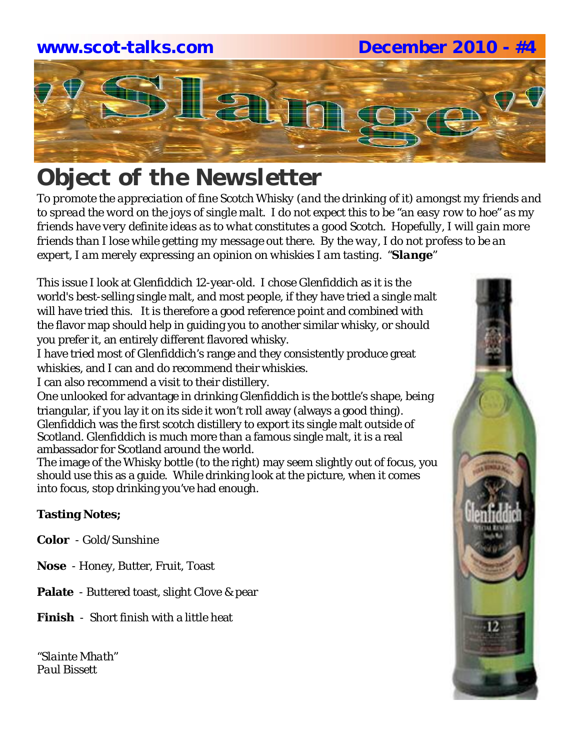# **www.scot-talks.com December 2010 - #4**



# *Object of the Newsletter*

*To promote the appreciation of fine Scotch Whisky (and the drinking of it) amongst my friends and to spread the word on the joys of single malt. I do not expect this to be "an easy row to hoe" as my friends have very definite ideas as to what constitutes a good Scotch. Hopefully, I will gain more friends than I lose while getting my message out there. By the way, I do not profess to be an expert, I am merely expressing an opinion on whiskies I am tasting. "Slange"*

This issue I look at Glenfiddich 12-year-old. I chose Glenfiddich as it is the world's best-selling single malt, and most people, if they have tried a single malt will have tried this. It is therefore a good reference point and combined with the flavor map should help in guiding you to another similar whisky, or should you prefer it, an entirely different flavored whisky.

I have tried most of Glenfiddich's range and they consistently produce great whiskies, and I can and do recommend their whiskies.

I can also recommend a visit to their distillery.

One unlooked for advantage in drinking Glenfiddich is the bottle's shape, being triangular, if you lay it on its side it won't roll away (always a good thing). Glenfiddich was the first scotch distillery to export its single malt outside of Scotland. Glenfiddich is much more than a famous single malt, it is a real ambassador for Scotland around the world.

The image of the Whisky bottle (to the right) may seem slightly out of focus, you should use this as a guide. While drinking look at the picture, when it comes into focus, stop drinking you've had enough.

### **Tasting Notes;**

**Color** - Gold/Sunshine

- **Nose**  Honey, Butter, Fruit, Toast
- **Palate**  Buttered toast, slight Clove & pear
- **Finish**  Short finish with a little heat

*"Slainte Mhath" Paul Bissett*

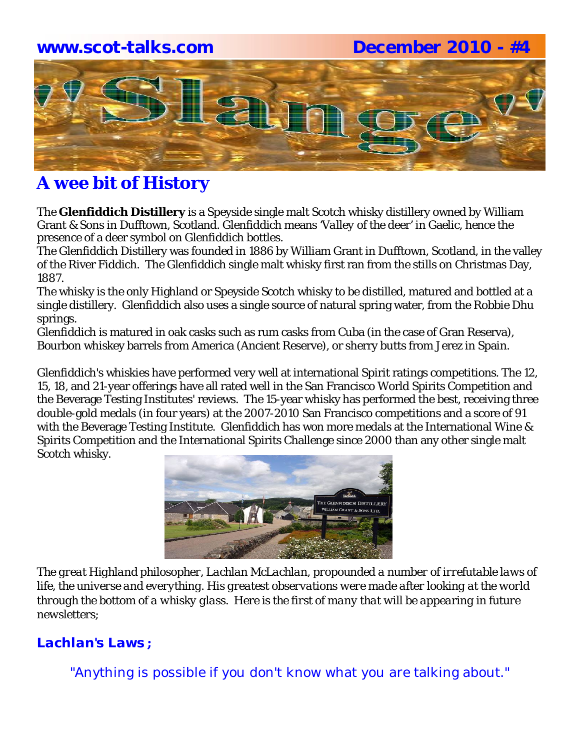### **www.scot-talks.com December 2010 - #4**



# **A wee bit of History**

The **Glenfiddich Distillery** is a Speyside single malt Scotch whisky distillery owned by William Grant & Sons in Dufftown, Scotland. Glenfiddich means *'Valley of the deer'* in Gaelic, hence the presence of a deer symbol on Glenfiddich bottles.

The Glenfiddich Distillery was founded in 1886 by William Grant in Dufftown, Scotland, in the valley of the River Fiddich. The Glenfiddich single malt whisky first ran from the stills on Christmas Day, 1887.

The whisky is the only Highland or Speyside Scotch whisky to be distilled, matured and bottled at a single distillery. Glenfiddich also uses a single source of natural spring water, from the Robbie Dhu springs.

Glenfiddich is matured in oak casks such as rum casks from Cuba (in the case of Gran Reserva), Bourbon whiskey barrels from America (Ancient Reserve), or sherry butts from Jerez in Spain.

Glenfiddich's whiskies have performed very well at international Spirit ratings competitions. The 12, 15, 18, and 21-year offerings have all rated well in the San Francisco World Spirits Competition and the Beverage Testing Institutes' reviews. The 15-year whisky has performed the best, receiving three double-gold medals (in four years) at the 2007-2010 San Francisco competitions and a score of 91 with the Beverage Testing Institute. Glenfiddich has won more medals at the International Wine & Spirits Competition and the International Spirits Challenge since 2000 than any other single malt Scotch whisky.



*The great Highland philosopher, Lachlan McLachlan, propounded a number of irrefutable laws of life, the universe and everything. His greatest observations were made after looking at the world through the bottom of a whisky glass. Here is the first of many that will be appearing in future newsletters;*

### *Lachlan's Laws* **;**

"Anything is possible if you don't know what you are talking about."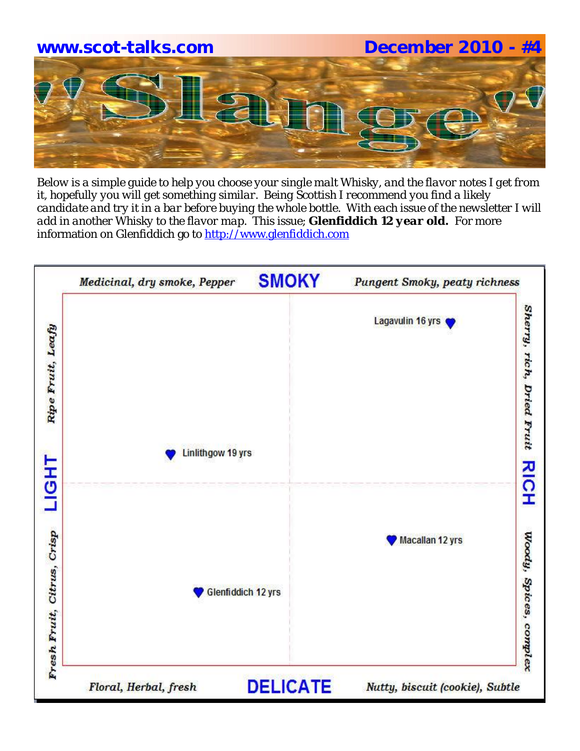

*Below is a simple guide to help you choose your single malt Whisky, and the flavor notes I get from it, hopefully you will get something similar. Being Scottish I recommend you find a likely candidate and try it in a bar before buying the whole bottle. With each issue of the newsletter I will add in another Whisky to the flavor map.* This issue; *Glenfiddich 12 year old***.** For more information on Glenfiddich go to http://www.glenfiddich.com